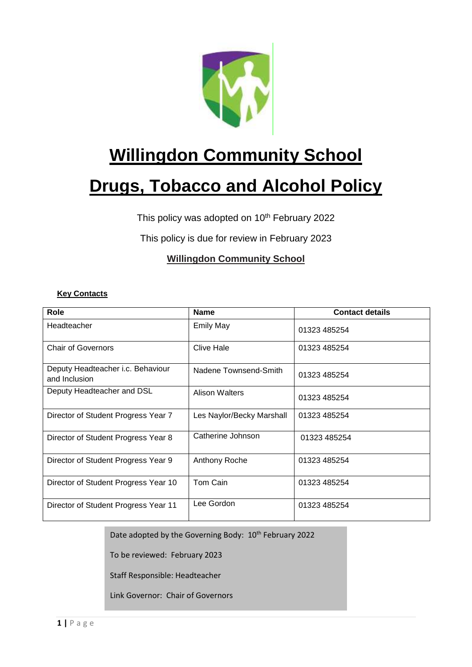

# **Willingdon Community School**

# **Drugs, Tobacco and Alcohol Policy**

This policy was adopted on 10<sup>th</sup> February 2022

This policy is due for review in February 2023

# **Willingdon Community School**

## **Key Contacts**

| Role                                               | <b>Name</b>               | <b>Contact details</b> |
|----------------------------------------------------|---------------------------|------------------------|
| Headteacher                                        | <b>Emily May</b>          | 01323 485254           |
| <b>Chair of Governors</b>                          | Clive Hale                | 01323 485254           |
| Deputy Headteacher i.c. Behaviour<br>and Inclusion | Nadene Townsend-Smith     | 01323 485254           |
| Deputy Headteacher and DSL                         | Alison Walters            | 01323 485254           |
| Director of Student Progress Year 7                | Les Naylor/Becky Marshall | 01323 485254           |
| Director of Student Progress Year 8                | Catherine Johnson         | 01323 485254           |
| Director of Student Progress Year 9                | Anthony Roche             | 01323 485254           |
| Director of Student Progress Year 10               | Tom Cain                  | 01323 485254           |
| Director of Student Progress Year 11               | Lee Gordon                | 01323 485254           |

Date adopted by the Governing Body: 10<sup>th</sup> February 2022

To be reviewed: February 2023

Staff Responsible: Headteacher

Link Governor: Chair of Governors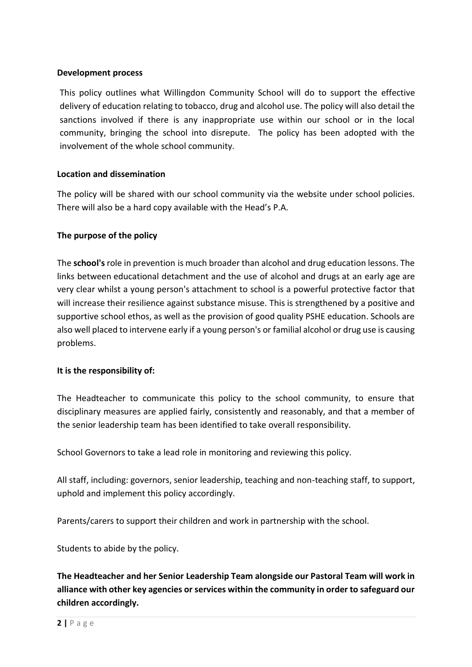## **Development process**

This policy outlines what Willingdon Community School will do to support the effective delivery of education relating to tobacco, drug and alcohol use. The policy will also detail the sanctions involved if there is any inappropriate use within our school or in the local community, bringing the school into disrepute. The policy has been adopted with the involvement of the whole school community.

## **Location and dissemination**

The policy will be shared with our school community via the website under school policies. There will also be a hard copy available with the Head's P.A.

## **The purpose of the policy**

The **school's** role in prevention is much broader than alcohol and drug education lessons. The links between educational detachment and the use of alcohol and drugs at an early age are very clear whilst a young person's attachment to school is a powerful protective factor that will increase their resilience against substance misuse. This is strengthened by a positive and supportive school ethos, as well as the provision of good quality PSHE education. Schools are also well placed to intervene early if a young person's or familial alcohol or drug use is causing problems.

#### **It is the responsibility of:**

The Headteacher to communicate this policy to the school community, to ensure that disciplinary measures are applied fairly, consistently and reasonably, and that a member of the senior leadership team has been identified to take overall responsibility.

School Governors to take a lead role in monitoring and reviewing this policy.

All staff, including: governors, senior leadership, teaching and non-teaching staff, to support, uphold and implement this policy accordingly.

Parents/carers to support their children and work in partnership with the school.

Students to abide by the policy.

**The Headteacher and her Senior Leadership Team alongside our Pastoral Team will work in alliance with other key agencies or services within the community in order to safeguard our children accordingly.**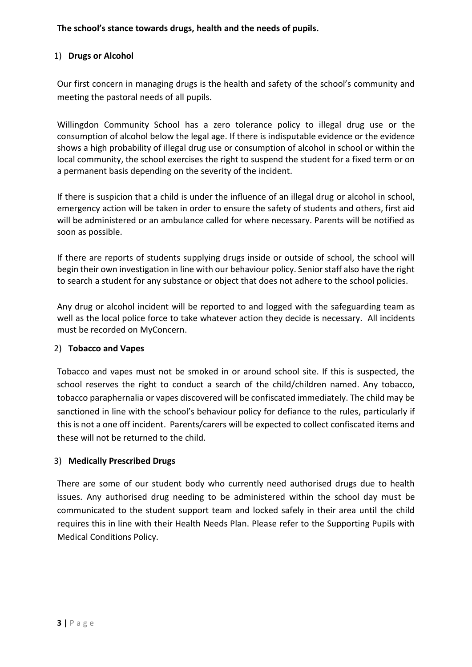## **The school's stance towards drugs, health and the needs of pupils.**

## 1) **Drugs or Alcohol**

Our first concern in managing drugs is the health and safety of the school's community and meeting the pastoral needs of all pupils.

Willingdon Community School has a zero tolerance policy to illegal drug use or the consumption of alcohol below the legal age. If there is indisputable evidence or the evidence shows a high probability of illegal drug use or consumption of alcohol in school or within the local community, the school exercises the right to suspend the student for a fixed term or on a permanent basis depending on the severity of the incident.

If there is suspicion that a child is under the influence of an illegal drug or alcohol in school, emergency action will be taken in order to ensure the safety of students and others, first aid will be administered or an ambulance called for where necessary. Parents will be notified as soon as possible.

If there are reports of students supplying drugs inside or outside of school, the school will begin their own investigation in line with our behaviour policy. Senior staff also have the right to search a student for any substance or object that does not adhere to the school policies.

Any drug or alcohol incident will be reported to and logged with the safeguarding team as well as the local police force to take whatever action they decide is necessary. All incidents must be recorded on MyConcern.

## 2) **Tobacco and Vapes**

Tobacco and vapes must not be smoked in or around school site. If this is suspected, the school reserves the right to conduct a search of the child/children named. Any tobacco, tobacco paraphernalia or vapes discovered will be confiscated immediately. The child may be sanctioned in line with the school's behaviour policy for defiance to the rules, particularly if this is not a one off incident. Parents/carers will be expected to collect confiscated items and these will not be returned to the child.

## 3) **Medically Prescribed Drugs**

There are some of our student body who currently need authorised drugs due to health issues. Any authorised drug needing to be administered within the school day must be communicated to the student support team and locked safely in their area until the child requires this in line with their Health Needs Plan. Please refer to the Supporting Pupils with Medical Conditions Policy.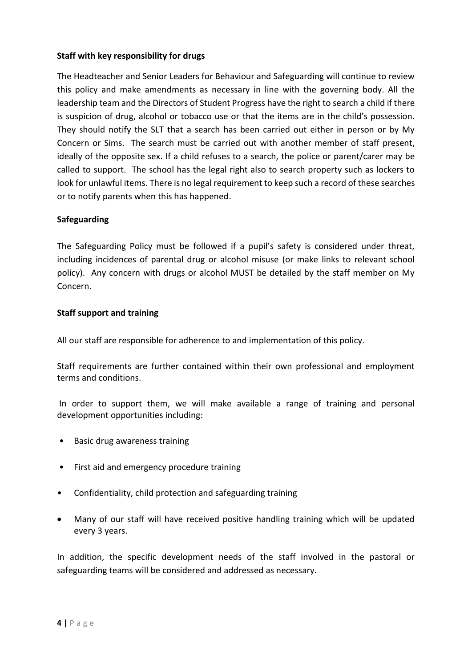## **Staff with key responsibility for drugs**

The Headteacher and Senior Leaders for Behaviour and Safeguarding will continue to review this policy and make amendments as necessary in line with the governing body. All the leadership team and the Directors of Student Progress have the right to search a child if there is suspicion of drug, alcohol or tobacco use or that the items are in the child's possession. They should notify the SLT that a search has been carried out either in person or by My Concern or Sims. The search must be carried out with another member of staff present, ideally of the opposite sex. If a child refuses to a search, the police or parent/carer may be called to support. The school has the legal right also to search property such as lockers to look for unlawful items. There is no legal requirement to keep such a record of these searches or to notify parents when this has happened.

## **Safeguarding**

The Safeguarding Policy must be followed if a pupil's safety is considered under threat, including incidences of parental drug or alcohol misuse (or make links to relevant school policy). Any concern with drugs or alcohol MUST be detailed by the staff member on My Concern.

## **Staff support and training**

All our staff are responsible for adherence to and implementation of this policy.

Staff requirements are further contained within their own professional and employment terms and conditions.

In order to support them, we will make available a range of training and personal development opportunities including:

- Basic drug awareness training
- First aid and emergency procedure training
- Confidentiality, child protection and safeguarding training
- Many of our staff will have received positive handling training which will be updated every 3 years.

In addition, the specific development needs of the staff involved in the pastoral or safeguarding teams will be considered and addressed as necessary.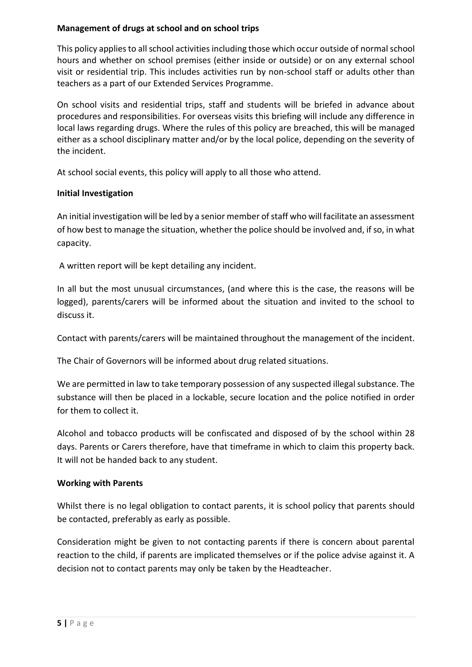## **Management of drugs at school and on school trips**

This policy applies to all school activities including those which occur outside of normal school hours and whether on school premises (either inside or outside) or on any external school visit or residential trip. This includes activities run by non-school staff or adults other than teachers as a part of our Extended Services Programme.

On school visits and residential trips, staff and students will be briefed in advance about procedures and responsibilities. For overseas visits this briefing will include any difference in local laws regarding drugs. Where the rules of this policy are breached, this will be managed either as a school disciplinary matter and/or by the local police, depending on the severity of the incident.

At school social events, this policy will apply to all those who attend.

## **Initial Investigation**

An initial investigation will be led by a senior member of staff who will facilitate an assessment of how best to manage the situation, whether the police should be involved and, if so, in what capacity.

A written report will be kept detailing any incident.

In all but the most unusual circumstances, (and where this is the case, the reasons will be logged), parents/carers will be informed about the situation and invited to the school to discuss it.

Contact with parents/carers will be maintained throughout the management of the incident.

The Chair of Governors will be informed about drug related situations.

We are permitted in law to take temporary possession of any suspected illegal substance. The substance will then be placed in a lockable, secure location and the police notified in order for them to collect it.

Alcohol and tobacco products will be confiscated and disposed of by the school within 28 days. Parents or Carers therefore, have that timeframe in which to claim this property back. It will not be handed back to any student.

## **Working with Parents**

Whilst there is no legal obligation to contact parents, it is school policy that parents should be contacted, preferably as early as possible.

Consideration might be given to not contacting parents if there is concern about parental reaction to the child, if parents are implicated themselves or if the police advise against it. A decision not to contact parents may only be taken by the Headteacher.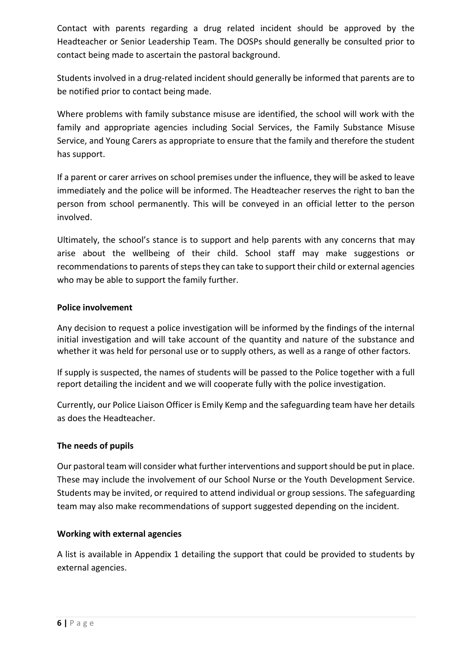Contact with parents regarding a drug related incident should be approved by the Headteacher or Senior Leadership Team. The DOSPs should generally be consulted prior to contact being made to ascertain the pastoral background.

Students involved in a drug-related incident should generally be informed that parents are to be notified prior to contact being made.

Where problems with family substance misuse are identified, the school will work with the family and appropriate agencies including Social Services, the Family Substance Misuse Service, and Young Carers as appropriate to ensure that the family and therefore the student has support.

If a parent or carer arrives on school premises under the influence, they will be asked to leave immediately and the police will be informed. The Headteacher reserves the right to ban the person from school permanently. This will be conveyed in an official letter to the person involved.

Ultimately, the school's stance is to support and help parents with any concerns that may arise about the wellbeing of their child. School staff may make suggestions or recommendations to parents of steps they can take to support their child or external agencies who may be able to support the family further.

## **Police involvement**

Any decision to request a police investigation will be informed by the findings of the internal initial investigation and will take account of the quantity and nature of the substance and whether it was held for personal use or to supply others, as well as a range of other factors.

If supply is suspected, the names of students will be passed to the Police together with a full report detailing the incident and we will cooperate fully with the police investigation.

Currently, our Police Liaison Officer is Emily Kemp and the safeguarding team have her details as does the Headteacher.

## **The needs of pupils**

Our pastoral team will consider what further interventions and support should be put in place. These may include the involvement of our School Nurse or the Youth Development Service. Students may be invited, or required to attend individual or group sessions. The safeguarding team may also make recommendations of support suggested depending on the incident.

## **Working with external agencies**

A list is available in Appendix 1 detailing the support that could be provided to students by external agencies.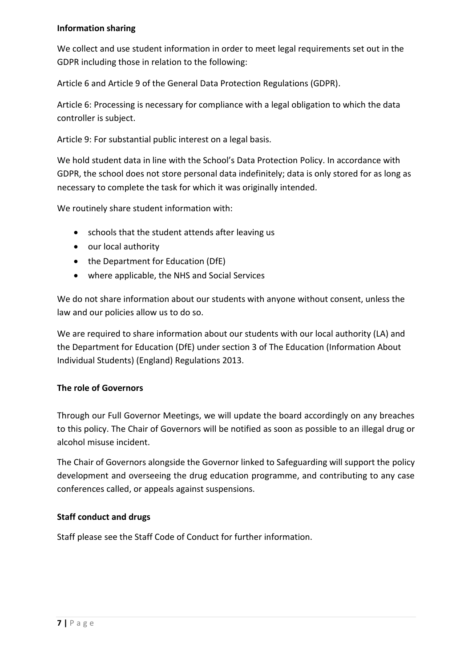## **Information sharing**

We collect and use student information in order to meet legal requirements set out in the GDPR including those in relation to the following:

Article 6 and Article 9 of the General Data Protection Regulations (GDPR).

Article 6: Processing is necessary for compliance with a legal obligation to which the data controller is subject.

Article 9: For substantial public interest on a legal basis.

We hold student data in line with the School's Data Protection Policy. In accordance with GDPR, the school does not store personal data indefinitely; data is only stored for as long as necessary to complete the task for which it was originally intended.

We routinely share student information with:

- schools that the student attends after leaving us
- our local authority
- the Department for Education (DfE)
- where applicable, the NHS and Social Services

We do not share information about our students with anyone without consent, unless the law and our policies allow us to do so.

We are required to share information about our students with our local authority (LA) and the Department for Education (DfE) under section 3 of The Education (Information About Individual Students) (England) Regulations 2013.

## **The role of Governors**

Through our Full Governor Meetings, we will update the board accordingly on any breaches to this policy. The Chair of Governors will be notified as soon as possible to an illegal drug or alcohol misuse incident.

The Chair of Governors alongside the Governor linked to Safeguarding will support the policy development and overseeing the drug education programme, and contributing to any case conferences called, or appeals against suspensions.

## **Staff conduct and drugs**

Staff please see the Staff Code of Conduct for further information.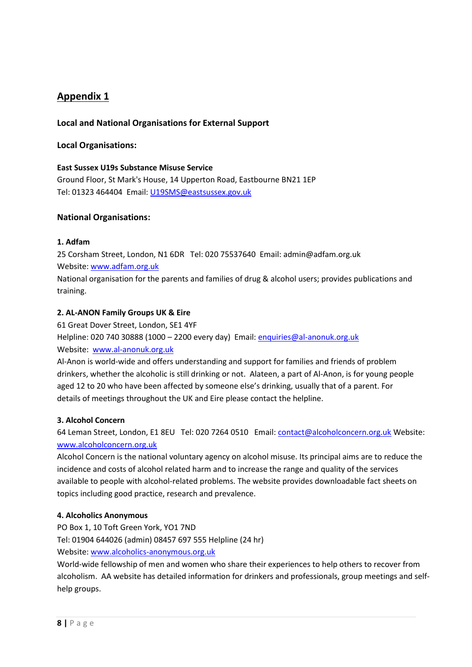## **Local and National Organisations for External Support**

#### **Local Organisations:**

#### **East Sussex U19s Substance Misuse Service**

Ground Floor, St Mark's House, 14 Upperton Road, Eastbourne BN21 1EP Tel: 01323 464404 Email[: U19SMS@eastsussex.gov.uk](mailto:U19SMS@eastsussex.gov.uk) 

#### **National Organisations:**

#### **1. Adfam**

25 Corsham Street, London, N1 6DR Tel: 020 75537640 Email: admin@adfam.org.uk Website: [www.adfam.org.uk](http://www.adfam.org.uk/)

National organisation for the parents and families of drug & alcohol users; provides publications and training.

#### **2. AL-ANON Family Groups UK & Eire**

61 Great Dover Street, London, SE1 4YF Helpline: 020 740 30888 (1000 – 2200 every day) Email: [enquiries@al-anonuk.org.uk](mailto:enquiries@al-anonuk.org.uk) Website: [www.al-anonuk.org.uk](http://www.al-anonuk.org.uk/)

Al-Anon is world-wide and offers understanding and support for families and friends of problem drinkers, whether the alcoholic is still drinking or not. Alateen, a part of Al-Anon, is for young people aged 12 to 20 who have been affected by someone else's drinking, usually that of a parent. For details of meetings throughout the UK and Eire please contact the helpline.

#### **3. Alcohol Concern**

64 Leman Street, London, E1 8EU Tel: 020 7264 0510 Email[: contact@alcoholconcern.org.uk](mailto:contact@alcoholconcern.org.uk) Website: [www.alcoholconcern.org.uk](http://www.alcoholconcern.org.uk/) 

Alcohol Concern is the national voluntary agency on alcohol misuse. Its principal aims are to reduce the incidence and costs of alcohol related harm and to increase the range and quality of the services available to people with alcohol-related problems. The website provides downloadable fact sheets on topics including good practice, research and prevalence.

#### **4. Alcoholics Anonymous**

PO Box 1, 10 Toft Green York, YO1 7ND Tel: 01904 644026 (admin) 08457 697 555 Helpline (24 hr) Website: [www.alcoholics-anonymous.org.uk](http://www.alcoholics-anonymous.org.uk/) 

World-wide fellowship of men and women who share their experiences to help others to recover from alcoholism. AA website has detailed information for drinkers and professionals, group meetings and selfhelp groups.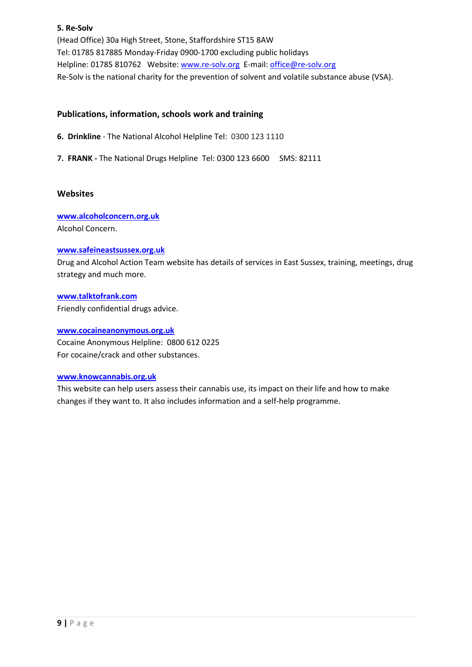#### **5. Re-Solv**

(Head Office) 30a High Street, Stone, Staffordshire ST15 8AW Tel: 01785 817885 Monday-Friday 0900-1700 excluding public holidays Helpline: 01785 810762 Website: [www.re-solv.org](http://www.re-solv.org/) E-mail: office@re-solv.org Re-Solv is the national charity for the prevention of solvent and volatile substance abuse (VSA).

#### **Publications, information, schools work and training**

**6. Drinkline** - The National Alcohol Helpline Tel: 0300 123 1110

**7. FRANK -** The National Drugs Helpline Tel: 0300 123 6600 SMS: 82111

#### **Websites**

**[www.alcoholconcern.org.uk](http://www.alcoholconcern.org.uk/)** Alcohol Concern.

#### **[www.safeineastsussex.org.uk](http://www.safeineastsussex.org.uk/)**

Drug and Alcohol Action Team website has details of services in East Sussex, training, meetings, drug strategy and much more.

#### **[www.talktofrank.com](http://www.talktofrank.com/)**

Friendly confidential drugs advice.

#### **[www.cocaineanonymous.org.uk](http://www.cocaineanonymous.org.uk/)**

Cocaine Anonymous Helpline: 0800 612 0225 For cocaine/crack and other substances.

#### **[www.knowcannabis.org.uk](http://www.knowcannabis.org.uk/)**

This website can help users assess their cannabis use, its impact on their life and how to make changes if they want to. It also includes information and a self-help programme.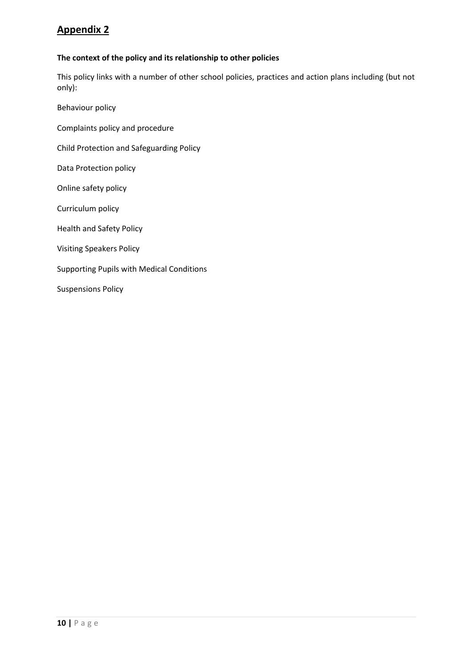#### **The context of the policy and its relationship to other policies**

This policy links with a number of other school policies, practices and action plans including (but not only):

Behaviour policy Complaints policy and procedure Child Protection and Safeguarding Policy Data Protection policy Online safety policy Curriculum policy Health and Safety Policy Visiting Speakers Policy Supporting Pupils with Medical Conditions Suspensions Policy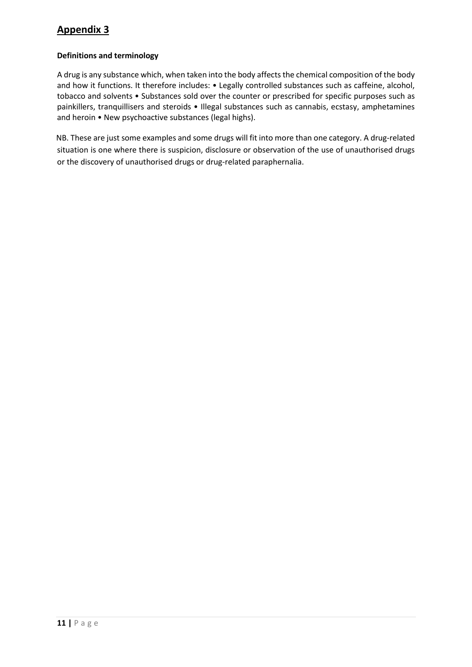#### **Definitions and terminology**

A drug is any substance which, when taken into the body affects the chemical composition of the body and how it functions. It therefore includes: • Legally controlled substances such as caffeine, alcohol, tobacco and solvents • Substances sold over the counter or prescribed for specific purposes such as painkillers, tranquillisers and steroids • Illegal substances such as cannabis, ecstasy, amphetamines and heroin • New psychoactive substances (legal highs).

NB. These are just some examples and some drugs will fit into more than one category. A drug-related situation is one where there is suspicion, disclosure or observation of the use of unauthorised drugs or the discovery of unauthorised drugs or drug-related paraphernalia.